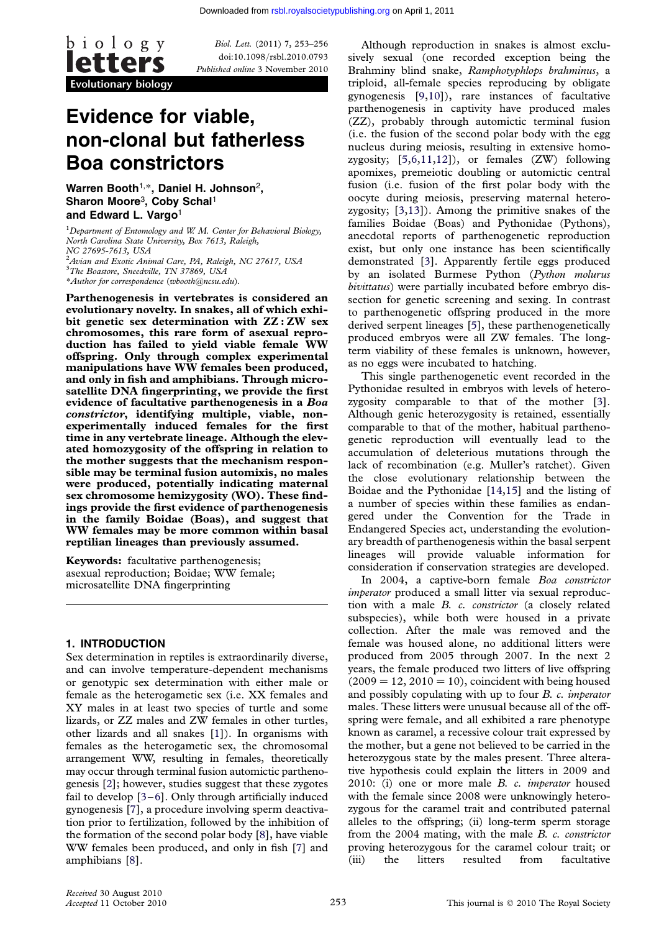

Biol. Lett. (2011) 7, 253–256 doi:10.1098/rsbl.2010.0793 Published online 3 November 2010

# Evidence for viable, non-clonal but fatherless Boa constrictors

Warren Booth<sup>1,\*</sup>, Daniel H. Johnson<sup>2</sup>, Sharon Moore<sup>3</sup>, Coby Schal<sup>1</sup> and Edward L. Vargo<sup>1</sup>

<sup>1</sup>Department of Entomology and W. M. Center for Behavioral Biology, North Carolina State University, Box 7613, Raleigh,

NC 27695-7613, USA 2 Avian and Exotic Animal Care, PA, Raleigh, NC 27617, USA

<sup>3</sup>The Boastore, Sneedville, TN 37869, USA

\*Author for correspondence ([wbooth@ncsu.edu](mailto:wbooth@ncsu.edu)).

Parthenogenesis in vertebrates is considered an evolutionary novelty. In snakes, all of which exhibit genetic sex determination with ZZ : ZW sex chromosomes, this rare form of asexual reproduction has failed to yield viable female WW offspring. Only through complex experimental manipulations have WW females been produced, and only in fish and amphibians. Through microsatellite DNA fingerprinting, we provide the first evidence of facultative parthenogenesis in a Boa constrictor, identifying multiple, viable, nonexperimentally induced females for the first time in any vertebrate lineage. Although the elevated homozygosity of the offspring in relation to the mother suggests that the mechanism responsible may be terminal fusion automixis, no males were produced, potentially indicating maternal sex chromosome hemizygosity (WO). These findings provide the first evidence of parthenogenesis in the family Boidae (Boas), and suggest that WW females may be more common within basal reptilian lineages than previously assumed.

Keywords: facultative parthenogenesis; asexual reproduction; Boidae; WW female; microsatellite DNA fingerprinting

### 1. INTRODUCTION

Sex determination in reptiles is extraordinarily diverse, and can involve temperature-dependent mechanisms or genotypic sex determination with either male or female as the heterogametic sex (i.e. XX females and XY males in at least two species of turtle and some lizards, or ZZ males and ZW females in other turtles, other lizards and all snakes [\[1\]](#page-3-0)). In organisms with females as the heterogametic sex, the chromosomal arrangement WW, resulting in females, theoretically may occur through terminal fusion automictic parthenogenesis [[2\]](#page-3-0); however, studies suggest that these zygotes fail to develop [\[3](#page-3-0)–[6](#page-3-0)]. Only through artificially induced gynogenesis [[7](#page-3-0)], a procedure involving sperm deactivation prior to fertilization, followed by the inhibition of the formation of the second polar body [\[8\]](#page-3-0), have viable WW females been produced, and only in fish [\[7](#page-3-0)] and amphibians [[8](#page-3-0)].

Although reproduction in snakes is almost exclusively sexual (one recorded exception being the Brahminy blind snake, Ramphotyphlops brahminus, a triploid, all-female species reproducing by obligate gynogenesis [\[9,10\]](#page-3-0)), rare instances of facultative parthenogenesis in captivity have produced males (ZZ), probably through automictic terminal fusion (i.e. the fusion of the second polar body with the egg nucleus during meiosis, resulting in extensive homozygosity;  $[5,6,11,12]$  $[5,6,11,12]$  $[5,6,11,12]$  $[5,6,11,12]$  $[5,6,11,12]$ , or females  $(ZW)$  following apomixes, premeiotic doubling or automictic central fusion (i.e. fusion of the first polar body with the oocyte during meiosis, preserving maternal heterozygosity; [\[3,13\]](#page-3-0)). Among the primitive snakes of the families Boidae (Boas) and Pythonidae (Pythons), anecdotal reports of parthenogenetic reproduction exist, but only one instance has been scientifically demonstrated [\[3\]](#page-3-0). Apparently fertile eggs produced by an isolated Burmese Python (Python molurus bivittatus) were partially incubated before embryo dissection for genetic screening and sexing. In contrast to parthenogenetic offspring produced in the more derived serpent lineages [[5](#page-3-0)], these parthenogenetically produced embryos were all ZW females. The longterm viability of these females is unknown, however, as no eggs were incubated to hatching.

This single parthenogenetic event recorded in the Pythonidae resulted in embryos with levels of heterozygosity comparable to that of the mother [\[3\]](#page-3-0). Although genic heterozygosity is retained, essentially comparable to that of the mother, habitual parthenogenetic reproduction will eventually lead to the accumulation of deleterious mutations through the lack of recombination (e.g. Muller's ratchet). Given the close evolutionary relationship between the Boidae and the Pythonidae [[14,15\]](#page-3-0) and the listing of a number of species within these families as endangered under the Convention for the Trade in Endangered Species act, understanding the evolutionary breadth of parthenogenesis within the basal serpent lineages will provide valuable information for consideration if conservation strategies are developed.

In 2004, a captive-born female Boa constrictor imperator produced a small litter via sexual reproduction with a male B. c. constrictor (a closely related subspecies), while both were housed in a private collection. After the male was removed and the female was housed alone, no additional litters were produced from 2005 through 2007. In the next 2 years, the female produced two litters of live offspring  $(2009 = 12, 2010 = 10)$ , coincident with being housed and possibly copulating with up to four B. c. imperator males. These litters were unusual because all of the offspring were female, and all exhibited a rare phenotype known as caramel, a recessive colour trait expressed by the mother, but a gene not believed to be carried in the heterozygous state by the males present. Three alterative hypothesis could explain the litters in 2009 and 2010: (i) one or more male B. c. imperator housed with the female since 2008 were unknowingly heterozygous for the caramel trait and contributed paternal alleles to the offspring; (ii) long-term sperm storage from the 2004 mating, with the male B. c. constrictor proving heterozygous for the caramel colour trait; or (iii) the litters resulted from facultative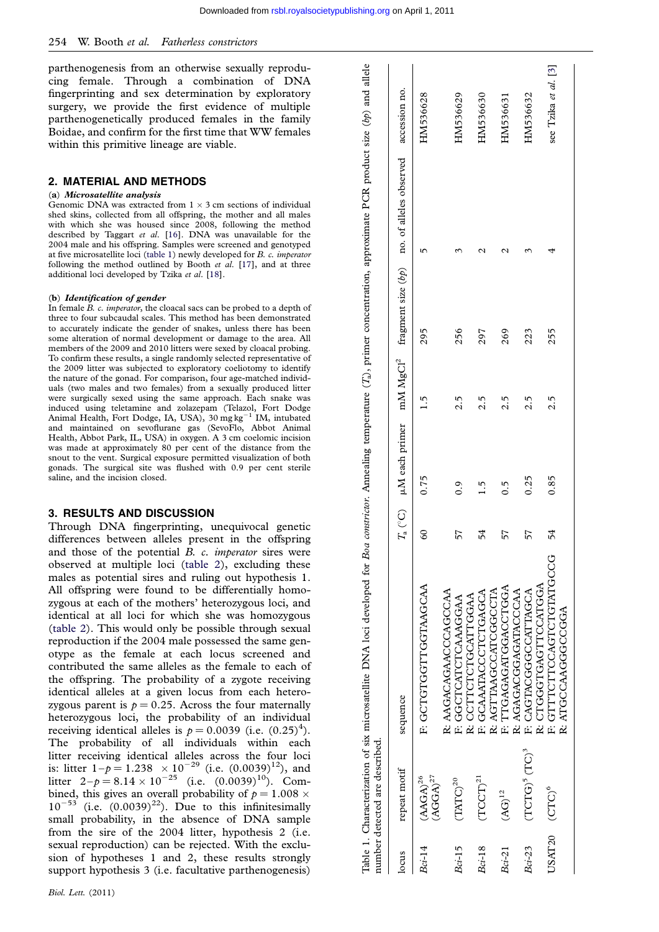parthenogenesis from an otherwise sexually reproducing female. Through a combination of DNA fingerprinting and sex determination by exploratory surgery, we provide the first evidence of multiple parthenogenetically produced females in the family Boidae, and confirm for the first time that WW females within this primitive lineage are viable.

## 2. MATERIAL AND METHODS

#### (a) Microsatellite analysis

Genomic DNA was extracted from  $1 \times 3$  cm sections of individual shed skins, collected from all offspring, the mother and all males with which she was housed since 2008, following the method described by Taggart et al. [[16\]](#page-3-0). DNA was unavailable for the 2004 male and his offspring. Samples were screened and genotyped at five microsatellite loci (table 1) newly developed for B. c. imperator following the method outlined by Booth et al. [\[17](#page-3-0)], and at three additional loci developed by Tzika et al. [\[18](#page-3-0)].

#### (b) Identification of gender

In female B. c. imperator, the cloacal sacs can be probed to a depth of three to four subcaudal scales. This method has been demonstrated to accurately indicate the gender of snakes, unless there has been some alteration of normal development or damage to the area. All members of the 2009 and 2010 litters were sexed by cloacal probing. To confirm these results, a single randomly selected representative of the 2009 litter was subjected to exploratory coeliotomy to identify the nature of the gonad. For comparison, four age-matched individuals (two males and two females) from a sexually produced litter were surgically sexed using the same approach. Each snake was induced using teletamine and zolazepam (Telazol, Fort Dodge Animal Health, Fort Dodge, IA, USA), 30 mg kg<sup>-1</sup> IM, intubated and maintained on sevoflurane gas (SevoFlo, Abbot Animal Health, Abbot Park, IL, USA) in oxygen. A 3 cm coelomic incision was made at approximately 80 per cent of the distance from the snout to the vent. Surgical exposure permitted visualization of both gonads. The surgical site was flushed with 0.9 per cent sterile saline, and the incision closed.

## 3. RESULTS AND DISCUSSION

Through DNA fingerprinting, unequivocal genetic differences between alleles present in the offspring and those of the potential B. c. imperator sires were observed at multiple loci [\(table 2](#page-2-0)), excluding these males as potential sires and ruling out hypothesis 1. All offspring were found to be differentially homozygous at each of the mothers' heterozygous loci, and identical at all loci for which she was homozygous ([table 2\)](#page-2-0). This would only be possible through sexual reproduction if the 2004 male possessed the same genotype as the female at each locus screened and contributed the same alleles as the female to each of the offspring. The probability of a zygote receiving identical alleles at a given locus from each heterozygous parent is  $p = 0.25$ . Across the four maternally heterozygous loci, the probability of an individual receiving identical alleles is  $p = 0.0039$  (i.e.  $(0.25)^4$ ). The probability of all individuals within each litter receiving identical alleles across the four loci is: litter  $1-p = 1.238 \times 10^{-29}$  (i.e.  $(0.0039)^{12}$ ), and litter  $2-p = 8.14 \times 10^{-25}$  (i.e.  $(0.0039)^{10}$ ). Combined, this gives an overall probability of  $p = 1.008 \times$  $10^{-53}$  (i.e.  $(0.0039)^{22}$ ). Due to this infinitesimally small probability, in the absence of DNA sample from the sire of the 2004 litter, hypothesis 2 (i.e. sexual reproduction) can be rejected. With the exclusion of hypotheses 1 and 2, these results strongly support hypothesis 3 (i.e. facultative parthenogenesis)

|          | number detected are described.  |                                                       |         |                  |     |     |                                                                                           |                      |
|----------|---------------------------------|-------------------------------------------------------|---------|------------------|-----|-----|-------------------------------------------------------------------------------------------|----------------------|
| locus    | repeat motif                    | sequence                                              |         |                  |     |     | $T_a$ (°C) µM each primer mM MgCl <sup>2</sup> fragment size (bp) no. of alleles observed | accession no.        |
| $Bci-14$ | $(AGGA)^{27}$<br>$(AAGA)^{26}$  | F: GCTGCTGCLUSHOW                                     | $^{60}$ | 0.75             | 51  | 295 | ι∩                                                                                        | HM536628             |
| $Bci-15$ | $(TATC)^{20}$                   | R: AAGACAGAACCAGCCAA<br>F: GGCTCATCLAAAGGAA           | 57      | $\ddot{0}$ .     | 2.5 | 256 |                                                                                           | HM536629             |
| $Bci-18$ | $(TCCT)^{21}$                   | F: GCAAATACCTCTGAGCA<br>R: CCTTCTCTGCATTGGAA          | 54      | $\frac{5}{1}$    | 2.5 | 297 | N                                                                                         | HM536630             |
| $Bci-21$ | $\rm (AG)^{12}$                 | F: TTGAGAGATGAS<br>R: AGTTAAGCCATCGGCCTA              | 57      | $\overline{0}$ . | 2.5 | 269 | $\mathcal{C}$                                                                             | HM536631             |
| $Bci-23$ | $(TCTG)^5$ $(TG)^3$             | R: AGAGACGGAGATACCCAA<br>F: CAGTACGGCCATTAGCA         | 57      | 0.25             | 2.5 | 223 |                                                                                           | HM536632             |
| USAT20   | $\left( \text{CTC}\right) ^{6}$ | <b>E: GITTCLOGOLEDITIONS</b><br>R: CTGGGTGAGTTCCATGGA | 54      | 0.85             | 2.5 | 255 |                                                                                           | see Tzika et al. [3] |
|          |                                 | R: ATGCCAAGGCCGGA                                     |         |                  |     |     |                                                                                           |                      |
|          |                                 |                                                       |         |                  |     |     |                                                                                           |                      |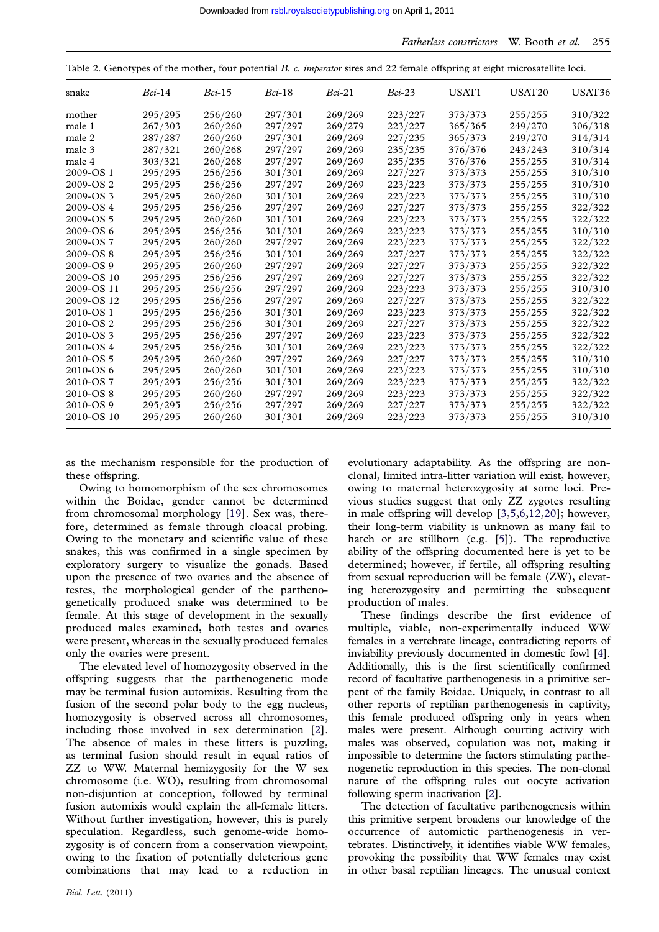<span id="page-2-0"></span>Table 2. Genotypes of the mother, four potential B. c. *imperator* sires and 22 female offspring at eight microsatellite loci.

| snake      | $Bci-14$ | $Bci-15$ | $Bci-18$ | $Bci-21$ | $Bci-23$ | USAT1   | USAT20  | USAT <sub>36</sub> |
|------------|----------|----------|----------|----------|----------|---------|---------|--------------------|
| mother     | 295/295  | 256/260  | 297/301  | 269/269  | 223/227  | 373/373 | 255/255 | 310/322            |
| male 1     | 267/303  | 260/260  | 297/297  | 269/279  | 223/227  | 365/365 | 249/270 | 306/318            |
| male 2     | 287/287  | 260/260  | 297/301  | 269/269  | 227/235  | 365/373 | 249/270 | 314/314            |
| male 3     | 287/321  | 260/268  | 297/297  | 269/269  | 235/235  | 376/376 | 243/243 | 310/314            |
| male 4     | 303/321  | 260/268  | 297/297  | 269/269  | 235/235  | 376/376 | 255/255 | 310/314            |
| 2009-OS 1  | 295/295  | 256/256  | 301/301  | 269/269  | 227/227  | 373/373 | 255/255 | 310/310            |
| 2009-OS 2  | 295/295  | 256/256  | 297/297  | 269/269  | 223/223  | 373/373 | 255/255 | 310/310            |
| 2009-OS 3  | 295/295  | 260/260  | 301/301  | 269/269  | 223/223  | 373/373 | 255/255 | 310/310            |
| 2009-OS 4  | 295/295  | 256/256  | 297/297  | 269/269  | 227/227  | 373/373 | 255/255 | 322/322            |
| 2009-OS 5  | 295/295  | 260/260  | 301/301  | 269/269  | 223/223  | 373/373 | 255/255 | 322/322            |
| 2009-OS 6  | 295/295  | 256/256  | 301/301  | 269/269  | 223/223  | 373/373 | 255/255 | 310/310            |
| 2009-OS 7  | 295/295  | 260/260  | 297/297  | 269/269  | 223/223  | 373/373 | 255/255 | 322/322            |
| 2009-OS 8  | 295/295  | 256/256  | 301/301  | 269/269  | 227/227  | 373/373 | 255/255 | 322/322            |
| 2009-OS 9  | 295/295  | 260/260  | 297/297  | 269/269  | 227/227  | 373/373 | 255/255 | 322/322            |
| 2009-OS 10 | 295/295  | 256/256  | 297/297  | 269/269  | 227/227  | 373/373 | 255/255 | 322/322            |
| 2009-OS 11 | 295/295  | 256/256  | 297/297  | 269/269  | 223/223  | 373/373 | 255/255 | 310/310            |
| 2009-OS 12 | 295/295  | 256/256  | 297/297  | 269/269  | 227/227  | 373/373 | 255/255 | 322/322            |
| 2010-OS 1  | 295/295  | 256/256  | 301/301  | 269/269  | 223/223  | 373/373 | 255/255 | 322/322            |
| 2010-OS 2  | 295/295  | 256/256  | 301/301  | 269/269  | 227/227  | 373/373 | 255/255 | 322/322            |
| 2010-OS 3  | 295/295  | 256/256  | 297/297  | 269/269  | 223/223  | 373/373 | 255/255 | 322/322            |
| 2010-OS 4  | 295/295  | 256/256  | 301/301  | 269/269  | 223/223  | 373/373 | 255/255 | 322/322            |
| 2010-OS 5  | 295/295  | 260/260  | 297/297  | 269/269  | 227/227  | 373/373 | 255/255 | 310/310            |
| 2010-OS6   | 295/295  | 260/260  | 301/301  | 269/269  | 223/223  | 373/373 | 255/255 | 310/310            |
| 2010-OS7   | 295/295  | 256/256  | 301/301  | 269/269  | 223/223  | 373/373 | 255/255 | 322/322            |
| 2010-OS 8  | 295/295  | 260/260  | 297/297  | 269/269  | 223/223  | 373/373 | 255/255 | 322/322            |
| 2010-OS 9  | 295/295  | 256/256  | 297/297  | 269/269  | 227/227  | 373/373 | 255/255 | 322/322            |
| 2010-OS 10 | 295/295  | 260/260  | 301/301  | 269/269  | 223/223  | 373/373 | 255/255 | 310/310            |

as the mechanism responsible for the production of these offspring.

Owing to homomorphism of the sex chromosomes within the Boidae, gender cannot be determined from chromosomal morphology [\[19](#page-3-0)]. Sex was, therefore, determined as female through cloacal probing. Owing to the monetary and scientific value of these snakes, this was confirmed in a single specimen by exploratory surgery to visualize the gonads. Based upon the presence of two ovaries and the absence of testes, the morphological gender of the parthenogenetically produced snake was determined to be female. At this stage of development in the sexually produced males examined, both testes and ovaries were present, whereas in the sexually produced females only the ovaries were present.

The elevated level of homozygosity observed in the offspring suggests that the parthenogenetic mode may be terminal fusion automixis. Resulting from the fusion of the second polar body to the egg nucleus, homozygosity is observed across all chromosomes, including those involved in sex determination [\[2\]](#page-3-0). The absence of males in these litters is puzzling, as terminal fusion should result in equal ratios of ZZ to WW. Maternal hemizygosity for the W sex chromosome (i.e. WO), resulting from chromosomal non-disjuntion at conception, followed by terminal fusion automixis would explain the all-female litters. Without further investigation, however, this is purely speculation. Regardless, such genome-wide homozygosity is of concern from a conservation viewpoint, owing to the fixation of potentially deleterious gene combinations that may lead to a reduction in

evolutionary adaptability. As the offspring are nonclonal, limited intra-litter variation will exist, however, owing to maternal heterozygosity at some loci. Previous studies suggest that only ZZ zygotes resulting in male offspring will develop [\[3,5,6,12,20\]](#page-3-0); however, their long-term viability is unknown as many fail to hatch or are stillborn (e.g. [[5](#page-3-0)]). The reproductive ability of the offspring documented here is yet to be determined; however, if fertile, all offspring resulting from sexual reproduction will be female (ZW), elevating heterozygosity and permitting the subsequent production of males.

These findings describe the first evidence of multiple, viable, non-experimentally induced WW females in a vertebrate lineage, contradicting reports of inviability previously documented in domestic fowl [[4](#page-3-0)]. Additionally, this is the first scientifically confirmed record of facultative parthenogenesis in a primitive serpent of the family Boidae. Uniquely, in contrast to all other reports of reptilian parthenogenesis in captivity, this female produced offspring only in years when males were present. Although courting activity with males was observed, copulation was not, making it impossible to determine the factors stimulating parthenogenetic reproduction in this species. The non-clonal nature of the offspring rules out oocyte activation following sperm inactivation [[2\]](#page-3-0).

The detection of facultative parthenogenesis within this primitive serpent broadens our knowledge of the occurrence of automictic parthenogenesis in vertebrates. Distinctively, it identifies viable WW females, provoking the possibility that WW females may exist in other basal reptilian lineages. The unusual context